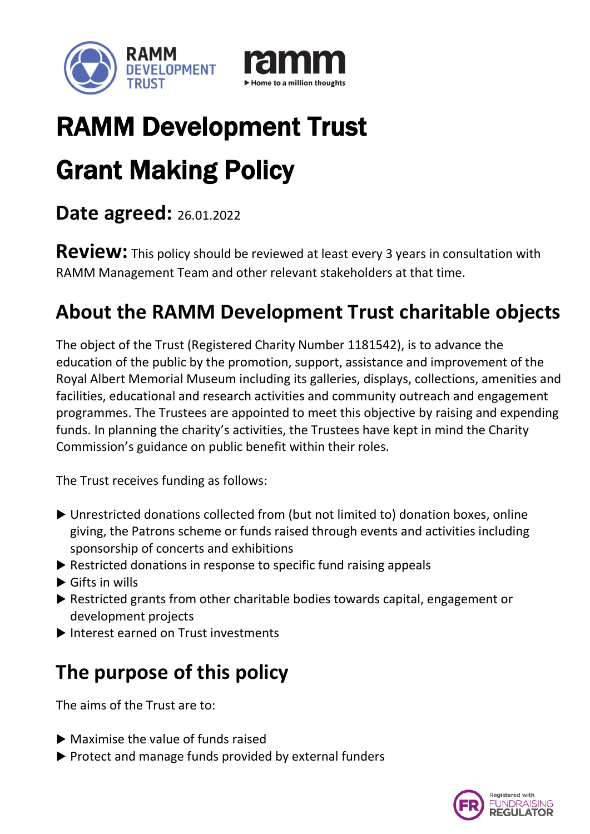



# RAMM Development Trust

# Grant Making Policy

#### **Date agreed:** 26.01.2022

**Review:** This policy should be reviewed at least every 3 years in consultation with RAMM Management Team and other relevant stakeholders at that time.

# **About the RAMM Development Trust charitable objects**

The object of the Trust (Registered Charity Number 1181542), is to advance the education of the public by the promotion, support, assistance and improvement of the Royal Albert Memorial Museum including its galleries, displays, collections, amenities and facilities, educational and research activities and community outreach and engagement programmes. The Trustees are appointed to meet this objective by raising and expending funds. In planning the charity's activities, the Trustees have kept in mind the Charity Commission's guidance on public benefit within their roles.

The Trust receives funding as follows:

- Unrestricted donations collected from (but not limited to) donation boxes, online giving, the Patrons scheme or funds raised through events and activities including sponsorship of concerts and exhibitions
- ▶ Restricted donations in response to specific fund raising appeals
- $\blacktriangleright$  Gifts in wills
- ▶ Restricted grants from other charitable bodies towards capital, engagement or development projects
- Interest earned on Trust investments

# **The purpose of this policy**

The aims of the Trust are to:

- $\blacktriangleright$  Maximise the value of funds raised
- $\triangleright$  Protect and manage funds provided by external funders

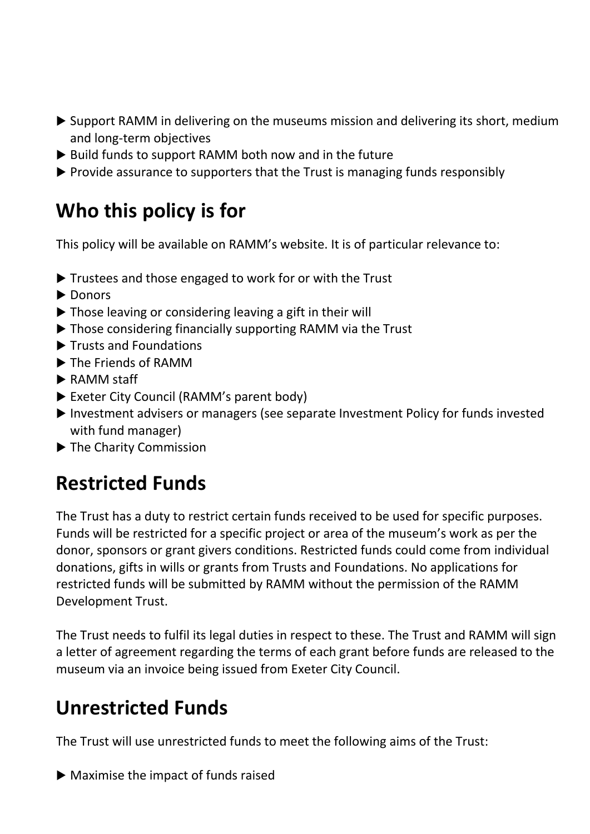- Support RAMM in delivering on the museums mission and delivering its short, medium and long-term objectives
- $\triangleright$  Build funds to support RAMM both now and in the future
- $\triangleright$  Provide assurance to supporters that the Trust is managing funds responsibly

### **Who this policy is for**

This policy will be available on RAMM's website. It is of particular relevance to:

- ▶ Trustees and those engaged to work for or with the Trust
- $\blacktriangleright$  Donors
- ▶ Those leaving or considering leaving a gift in their will
- ▶ Those considering financially supporting RAMM via the Trust
- ▶ Trusts and Foundations
- ▶ The Friends of RAMM
- ▶ RAMM staff
- Exeter City Council (RAMM's parent body)
- Investment advisers or managers (see separate Investment Policy for funds invested with fund manager)
- ▶ The Charity Commission

### **Restricted Funds**

The Trust has a duty to restrict certain funds received to be used for specific purposes. Funds will be restricted for a specific project or area of the museum's work as per the donor, sponsors or grant givers conditions. Restricted funds could come from individual donations, gifts in wills or grants from Trusts and Foundations. No applications for restricted funds will be submitted by RAMM without the permission of the RAMM Development Trust.

The Trust needs to fulfil its legal duties in respect to these. The Trust and RAMM will sign a letter of agreement regarding the terms of each grant before funds are released to the museum via an invoice being issued from Exeter City Council.

#### **Unrestricted Funds**

The Trust will use unrestricted funds to meet the following aims of the Trust:

 $\blacktriangleright$  Maximise the impact of funds raised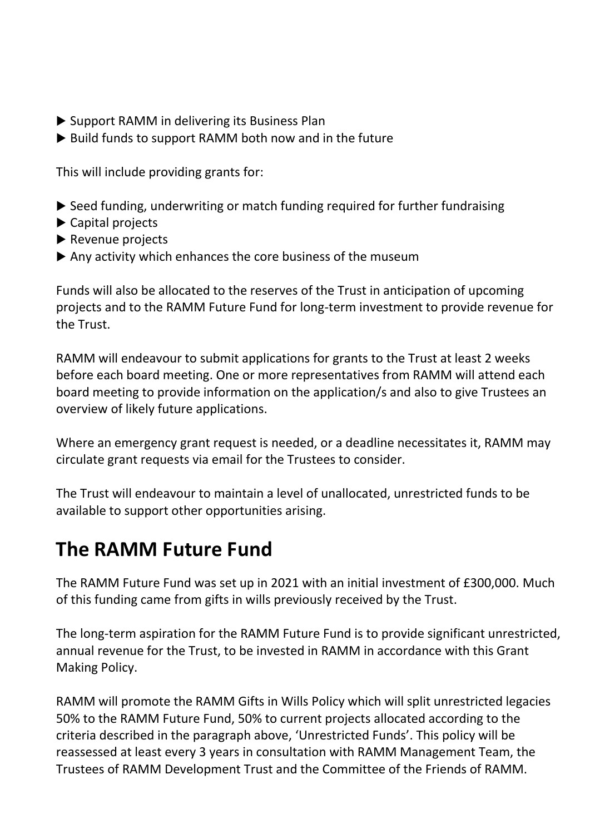- ▶ Support RAMM in delivering its Business Plan
- $\triangleright$  Build funds to support RAMM both now and in the future

This will include providing grants for:

- ▶ Seed funding, underwriting or match funding required for further fundraising
- ▶ Capital projects
- $\blacktriangleright$  Revenue projects
- $\blacktriangleright$  Any activity which enhances the core business of the museum

Funds will also be allocated to the reserves of the Trust in anticipation of upcoming projects and to the RAMM Future Fund for long-term investment to provide revenue for the Trust.

RAMM will endeavour to submit applications for grants to the Trust at least 2 weeks before each board meeting. One or more representatives from RAMM will attend each board meeting to provide information on the application/s and also to give Trustees an overview of likely future applications.

Where an emergency grant request is needed, or a deadline necessitates it, RAMM may circulate grant requests via email for the Trustees to consider.

The Trust will endeavour to maintain a level of unallocated, unrestricted funds to be available to support other opportunities arising.

### **The RAMM Future Fund**

The RAMM Future Fund was set up in 2021 with an initial investment of £300,000. Much of this funding came from gifts in wills previously received by the Trust.

The long-term aspiration for the RAMM Future Fund is to provide significant unrestricted, annual revenue for the Trust, to be invested in RAMM in accordance with this Grant Making Policy.

RAMM will promote the RAMM Gifts in Wills Policy which will split unrestricted legacies 50% to the RAMM Future Fund, 50% to current projects allocated according to the criteria described in the paragraph above, 'Unrestricted Funds'. This policy will be reassessed at least every 3 years in consultation with RAMM Management Team, the Trustees of RAMM Development Trust and the Committee of the Friends of RAMM.